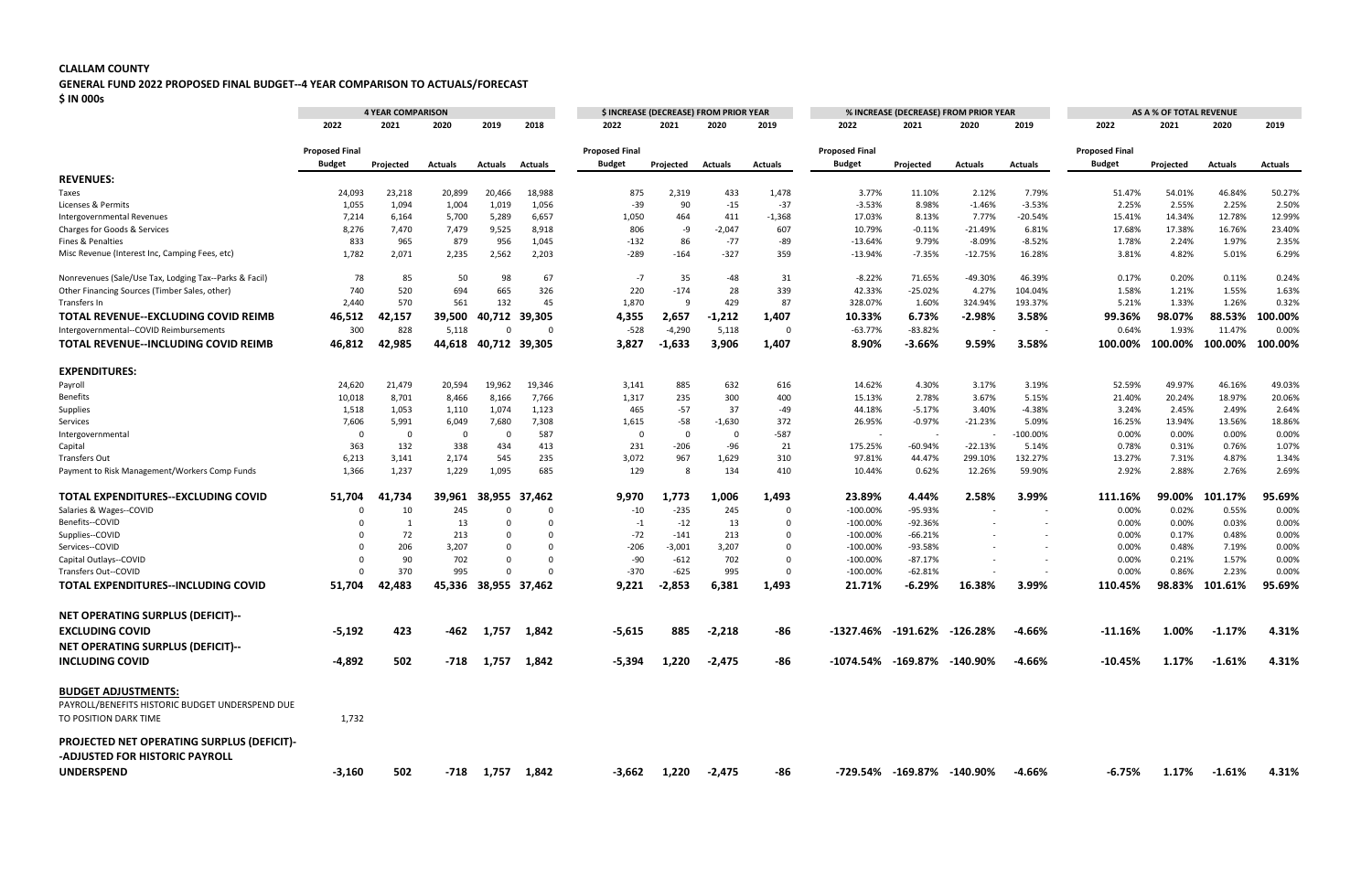## **CLALLAM COUNTY**

## **GENERAL FUND 2022 PROPOSED FINAL BUDGET--4 YEAR COMPARISON TO ACTUALS/FORECAST**

**\$ IN 000s**

|                                                        | <b>4 YEAR COMPARISON</b> |                         |         |                    |               | \$ INCREASE (DECREASE) FROM PRIOR YEAR |           |                         |          | % INCREASE (DECREASE) FROM PRIOR YEAR |                            |           |                          | AS A % OF TOTAL REVENUE |           |                |         |  |
|--------------------------------------------------------|--------------------------|-------------------------|---------|--------------------|---------------|----------------------------------------|-----------|-------------------------|----------|---------------------------------------|----------------------------|-----------|--------------------------|-------------------------|-----------|----------------|---------|--|
|                                                        | 2022                     | 2021                    | 2020    | 2019               | 2018          | 2022                                   | 2021      | 2020                    | 2019     | 2022                                  | 2021                       | 2020      | 2019                     | 2022                    | 2021      | 2020           | 2019    |  |
|                                                        | <b>Proposed Final</b>    |                         |         |                    |               | <b>Proposed Final</b>                  |           |                         |          | <b>Proposed Final</b>                 |                            |           |                          | <b>Proposed Final</b>   |           |                |         |  |
|                                                        | <b>Budget</b>            | Projected               | Actuals | Actuals            | Actuals       | Budget                                 | Projected | <b>Actuals</b>          | Actuals  | <b>Budget</b>                         | Projected                  | Actuals   | Actuals                  | <b>Budget</b>           | Projected | <b>Actuals</b> | Actuals |  |
| <b>REVENUES:</b>                                       |                          |                         |         |                    |               |                                        |           |                         |          |                                       |                            |           |                          |                         |           |                |         |  |
| Taxes                                                  | 24,093                   | 23,218                  | 20,899  | 20,466             | 18,988        | 875                                    | 2,319     | 433                     | 1,478    | 3.77%                                 | 11.10%                     | 2.12%     | 7.79%                    | 51.47%                  | 54.01%    | 46.84%         | 50.27%  |  |
| Licenses & Permits                                     | 1,055                    | 1,094                   | 1,004   | 1,019              | 1,056         | $-39$                                  | 90        | $-15$                   | $-37$    | $-3.53%$                              | 8.98%                      | $-1.46%$  | $-3.53%$                 | 2.25%                   | 2.55%     | 2.25%          | 2.50%   |  |
| Intergovernmental Revenues                             | 7,214                    | 6,164                   | 5,700   | 5,289              | 6,657         | 1,050                                  | 464       | 411                     | $-1,368$ | 17.03%                                | 8.13%                      | 7.77%     | $-20.54%$                | 15.41%                  | 14.34%    | 12.78%         | 12.99%  |  |
| Charges for Goods & Services                           | 8,276                    | 7,470                   | 7,479   | 9,525              | 8,918         | 806                                    | -9        | $-2,047$                | 607      | 10.79%                                | $-0.11%$                   | $-21.49%$ | 6.81%                    | 17.68%                  | 17.38%    | 16.76%         | 23.40%  |  |
| Fines & Penalties                                      | 833                      | 965                     | 879     | 956                | 1,045         | $-132$                                 | 86        | $-77$                   | -89      | $-13.64%$                             | 9.79%                      | $-8.09%$  | $-8.52%$                 | 1.78%                   | 2.24%     | 1.97%          | 2.35%   |  |
| Misc Revenue (Interest Inc, Camping Fees, etc)         | 1,782                    | 2,071                   | 2,235   | 2,562              | 2,203         | $-289$                                 | $-164$    | $-327$                  | 359      | $-13.94%$                             | $-7.35%$                   | $-12.75%$ | 16.28%                   | 3.81%                   | 4.82%     | 5.01%          | 6.29%   |  |
| Nonrevenues (Sale/Use Tax, Lodging Tax--Parks & Facil) | 78                       | 85                      | 50      | 98                 | 67            | $-7$                                   | 35        | -48                     | 31       | $-8.22%$                              | 71.65%                     | -49.30%   | 46.39%                   | 0.17%                   | 0.20%     | 0.11%          | 0.24%   |  |
| Other Financing Sources (Timber Sales, other)          | 740                      | 520                     | 694     | 665                | 326           | 220                                    | $-174$    | 28                      | 339      | 42.33%                                | $-25.02%$                  | 4.27%     | 104.04%                  | 1.58%                   | 1.21%     | 1.55%          | 1.63%   |  |
| Transfers In                                           | 2,440                    | 570                     | 561     | 132                | 45            | 1,870                                  | q         | 429                     | 87       | 328.07%                               | 1.60%                      | 324.94%   | 193.37%                  | 5.21%                   | 1.33%     | 1.26%          | 0.32%   |  |
| TOTAL REVENUE--EXCLUDING COVID REIMB                   | 46,512                   | 42,157                  | 39,500  |                    | 40,712 39,305 | 4,355                                  | 2,657     | $-1,212$                | 1,407    | 10.33%                                | 6.73%                      | $-2.98%$  | 3.58%                    | 99.36%                  | 98.07%    | 88.53%         | 100.00% |  |
| Intergovernmental--COVID Reimbursements                | 300                      | 828                     | 5,118   | - 0                | - 0           | $-528$                                 | $-4,290$  | 5,118                   | $\Omega$ | $-63.77%$                             | $-83.82%$                  |           |                          | 0.64%                   | 1.93%     | 11.47%         | 0.00%   |  |
| <b>TOTAL REVENUE--INCLUDING COVID REIMB</b>            | 46,812                   | 42,985                  | 44,618  | 40,712 39,305      |               | 3,827                                  | $-1,633$  | 3,906                   | 1,407    | 8.90%                                 | $-3.66%$                   | 9.59%     | 3.58%                    | 100.00%                 | 100.00%   | 100.00%        | 100.00% |  |
| <b>EXPENDITURES:</b>                                   |                          |                         |         |                    |               |                                        |           |                         |          |                                       |                            |           |                          |                         |           |                |         |  |
| Payroll                                                | 24,620                   | 21,479                  | 20,594  | 19,962             | 19,346        | 3,141                                  | 885       | 632                     | 616      | 14.62%                                | 4.30%                      | 3.17%     | 3.19%                    | 52.59%                  | 49.97%    | 46.16%         | 49.03%  |  |
| <b>Benefits</b>                                        | 10,018                   | 8,701                   | 8,466   | 8,166              | 7,766         | 1,317                                  | 235       | 300                     | 400      | 15.13%                                | 2.78%                      | 3.67%     | 5.15%                    | 21.40%                  | 20.24%    | 18.97%         | 20.06%  |  |
| Supplies                                               | 1,518                    | 1,053                   | 1,110   | 1,074              | 1,123         | 465                                    | $-57$     | 37                      | $-49$    | 44.18%                                | $-5.17%$                   | 3.40%     | $-4.38%$                 | 3.24%                   | 2.45%     | 2.49%          | 2.64%   |  |
| Services                                               | 7,606                    | 5,991                   | 6,049   | 7,680              | 7,308         | 1,615                                  | $-58$     | $-1,630$                | 372      | 26.95%                                | $-0.97%$                   | $-21.23%$ | 5.09%                    | 16.25%                  | 13.94%    | 13.56%         | 18.86%  |  |
| Intergovernmental                                      | 0                        | $\overline{\mathbf{0}}$ | 0       | 0                  | 587           | $\Omega$                               | - 0       | 0                       | $-587$   | $\sim$                                |                            |           | $-100.00\%$              | 0.00%                   | 0.00%     | 0.00%          | 0.00%   |  |
| Capital                                                | 363                      | 132                     | 338     | 434                | 413           | 231                                    | $-206$    | -96                     | 21       | 175.25%                               | $-60.94%$                  | $-22.13%$ | 5.14%                    | 0.78%                   | 0.31%     | 0.76%          | 1.07%   |  |
| Transfers Out                                          | 6,213                    | 3,141                   | 2,174   | 545                | 235           | 3,072                                  | 967       | 1,629                   | 310      | 97.81%                                | 44.47%                     | 299.10%   | 132.27%                  | 13.27%                  | 7.31%     | 4.87%          | 1.34%   |  |
| Payment to Risk Management/Workers Comp Funds          | 1,366                    | 1,237                   | 1,229   | 1,095              | 685           | 129                                    |           | 134                     | 410      | 10.44%                                | 0.62%                      | 12.26%    | 59.90%                   | 2.92%                   | 2.88%     | 2.76%          | 2.69%   |  |
| TOTAL EXPENDITURES--EXCLUDING COVID                    | 51,704                   | 41,734                  | 39,961  | 38,955             | 37,462        | 9,970                                  | 1,773     | 1,006                   | 1,493    | 23.89%                                | 4.44%                      | 2.58%     | 3.99%                    | 111.16%                 | 99.00%    | 101.17%        | 95.69%  |  |
| Salaries & Wages--COVID                                |                          | 10                      | 245     | $\Omega$           | $\Omega$      | $-10$                                  | $-235$    | 245                     | $\Omega$ | $-100.00\%$                           | -95.93%                    |           | $\overline{\phantom{0}}$ | 0.00%                   | 0.02%     | 0.55%          | 0.00%   |  |
| Benefits--COVID                                        |                          |                         | 13      | $\Omega$           | $\Omega$      | $-1$                                   | $-12$     | 13                      | $\Omega$ | $-100.00\%$                           | -92.36%                    |           | $\sim$                   | 0.00%                   | 0.00%     | 0.03%          | 0.00%   |  |
| Supplies--COVID                                        |                          | 72                      | 213     | $\Omega$           | $\Omega$      | $-72$                                  | $-141$    | 213                     | $\Omega$ | $-100.00%$                            | $-66.21%$                  |           |                          | 0.00%                   | 0.17%     | 0.48%          | 0.00%   |  |
| Services--COVID                                        |                          | 206                     | 3,207   | $\Omega$           | $\Omega$      | $-206$                                 | $-3,001$  | 3,207                   | $\Omega$ | $-100.00%$                            | -93.58%                    |           | $\sim$                   | 0.00%                   | 0.48%     | 7.19%          | 0.00%   |  |
| Capital Outlays--COVID                                 | n                        | 90                      | 702     | $\Omega$           | $\Omega$      | $-90$                                  | $-612$    | 702                     | $\Omega$ | $-100.00\%$                           | $-87.17%$                  |           |                          | 0.00%                   | 0.21%     | 1.57%          | 0.00%   |  |
| Transfers Out--COVID                                   | $\Omega$                 | 370                     | 995     | $\Omega$           | - 0           | $-370$                                 | $-625$    | 995                     | $\Omega$ | $-100.00%$                            | $-62.81%$                  |           | $\sim$                   | 0.00%                   | 0.86%     | 2.23%          | 0.00%   |  |
| <b>TOTAL EXPENDITURES--INCLUDING COVID</b>             | 51,704                   | 42,483                  | 45,336  | 38,955 37,462      |               | 9,221                                  | $-2,853$  | 6,381                   | 1,493    | 21.71%                                | $-6.29%$                   | 16.38%    | 3.99%                    | 110.45%                 | 98.83%    | 101.61%        | 95.69%  |  |
| <b>NET OPERATING SURPLUS (DEFICIT)--</b>               |                          |                         |         |                    |               |                                        |           |                         |          |                                       |                            |           |                          |                         |           |                |         |  |
|                                                        |                          |                         |         |                    |               |                                        |           |                         |          |                                       |                            |           |                          |                         |           |                |         |  |
| <b>EXCLUDING COVID</b>                                 | $-5,192$                 | 423                     | -462    | 1,757              | 1,842         | $-5,615$                               | 885       | $-2,218$                | -86      | $-1327.46\%$ $-191.62\%$ $-126.28\%$  |                            |           | -4.66%                   | $-11.16%$               | 1.00%     | $-1.17%$       | 4.31%   |  |
| <b>NET OPERATING SURPLUS (DEFICIT)--</b>               |                          |                         |         |                    |               |                                        |           |                         |          |                                       |                            |           |                          |                         |           |                |         |  |
| <b>INCLUDING COVID</b>                                 | -4,892                   | 502                     |         | $-718$ 1,757 1,842 |               | -5,394                                 | 1,220     | $-2,475$                | -86      | $-1074.54\%$ $-169.87\%$ $-140.90\%$  |                            |           | -4.66%                   | $-10.45%$               | 1.17%     | $-1.61%$       | 4.31%   |  |
| <b>BUDGET ADJUSTMENTS:</b>                             |                          |                         |         |                    |               |                                        |           |                         |          |                                       |                            |           |                          |                         |           |                |         |  |
| PAYROLL/BENEFITS HISTORIC BUDGET UNDERSPEND DUE        |                          |                         |         |                    |               |                                        |           |                         |          |                                       |                            |           |                          |                         |           |                |         |  |
| TO POSITION DARK TIME                                  | 1,732                    |                         |         |                    |               |                                        |           |                         |          |                                       |                            |           |                          |                         |           |                |         |  |
| PROJECTED NET OPERATING SURPLUS (DEFICIT)-             |                          |                         |         |                    |               |                                        |           |                         |          |                                       |                            |           |                          |                         |           |                |         |  |
| -ADJUSTED FOR HISTORIC PAYROLL                         |                          |                         |         |                    |               |                                        |           |                         |          |                                       |                            |           |                          |                         |           |                |         |  |
| <b>UNDERSPEND</b>                                      | $-3,160$                 | 502                     |         | $-718$ 1,757 1,842 |               |                                        |           | $-3,662$ 1,220 $-2,475$ | -86      |                                       | -729.54% -169.87% -140.90% |           | -4.66%                   | $-6.75%$                | 1.17%     | $-1.61\%$      | 4.31%   |  |
|                                                        |                          |                         |         |                    |               |                                        |           |                         |          |                                       |                            |           |                          |                         |           |                |         |  |